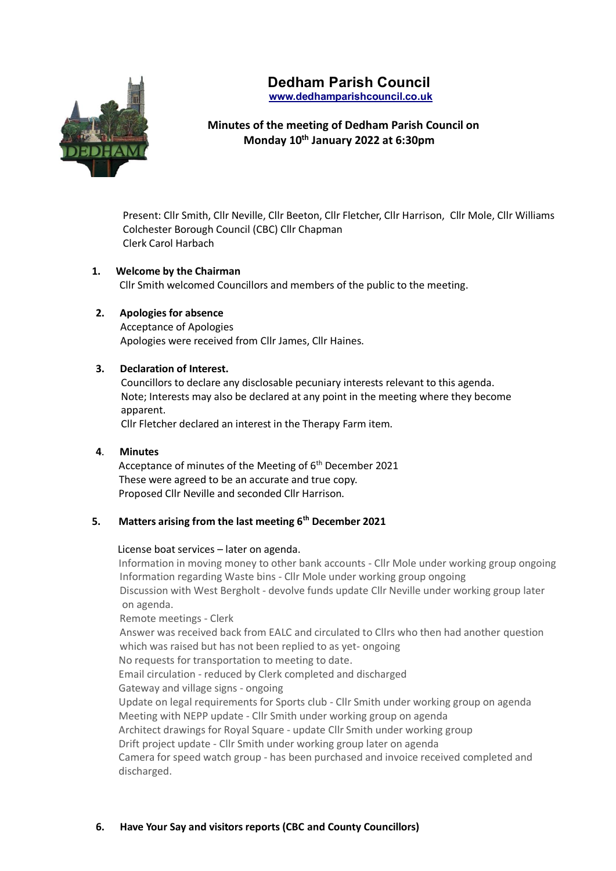# **Dedham Parish Council www.dedhamparishcouncil.co.uk**



# **Minutes of the meeting of Dedham Parish Council on Monday 10th January 2022 at 6:30pm**

Present: Cllr Smith, Cllr Neville, Cllr Beeton, Cllr Fletcher, Cllr Harrison, Cllr Mole, Cllr Williams Colchester Borough Council (CBC) Cllr Chapman Clerk Carol Harbach

# **1. Welcome by the Chairman**

Cllr Smith welcomed Councillors and members of the public to the meeting.

## **2. Apologies for absence**

 Acceptance of Apologies Apologies were received from Cllr James, Cllr Haines.

## **3. Declaration of Interest.**

 Councillors to declare any disclosable pecuniary interests relevant to this agenda. Note; Interests may also be declared at any point in the meeting where they become apparent.

Cllr Fletcher declared an interest in the Therapy Farm item.

# **4**. **Minutes**

Acceptance of minutes of the Meeting of  $6<sup>th</sup>$  December 2021 These were agreed to be an accurate and true copy. Proposed Cllr Neville and seconded Cllr Harrison.

# **5. Matters arising from the last meeting 6th December 2021**

#### License boat services – later on agenda.

 Information in moving money to other bank accounts - Cllr Mole under working group ongoing Information regarding Waste bins - Cllr Mole under working group ongoing Discussion with West Bergholt - devolve funds update Cllr Neville under working group later on agenda.

Remote meetings - Clerk

Answer was received back from EALC and circulated to Cllrs who then had another question which was raised but has not been replied to as yet- ongoing

No requests for transportation to meeting to date.

Email circulation - reduced by Clerk completed and discharged

Gateway and village signs - ongoing

 Update on legal requirements for Sports club - Cllr Smith under working group on agenda Meeting with NEPP update - Cllr Smith under working group on agenda Architect drawings for Royal Square - update Cllr Smith under working group

Drift project update - Cllr Smith under working group later on agenda

 Camera for speed watch group - has been purchased and invoice received completed and discharged.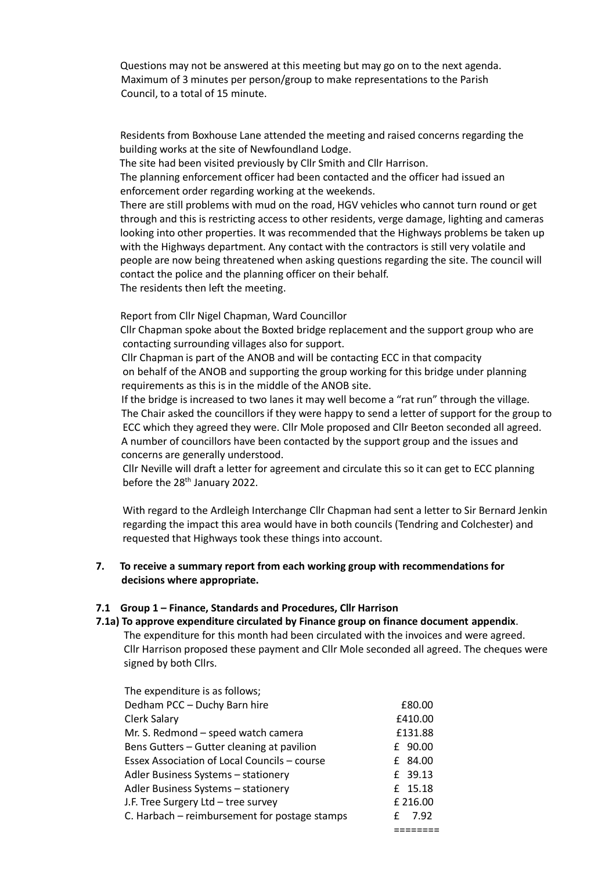Questions may not be answered at this meeting but may go on to the next agenda. Maximum of 3 minutes per person/group to make representations to the Parish Council, to a total of 15 minute.

 Residents from Boxhouse Lane attended the meeting and raised concerns regarding the building works at the site of Newfoundland Lodge.

The site had been visited previously by Cllr Smith and Cllr Harrison.

 The planning enforcement officer had been contacted and the officer had issued an enforcement order regarding working at the weekends.

 There are still problems with mud on the road, HGV vehicles who cannot turn round or get through and this is restricting access to other residents, verge damage, lighting and cameras looking into other properties. It was recommended that the Highways problems be taken up with the Highways department. Any contact with the contractors is still very volatile and people are now being threatened when asking questions regarding the site. The council will contact the police and the planning officer on their behalf. The residents then left the meeting.

Report from Cllr Nigel Chapman, Ward Councillor

 Cllr Chapman spoke about the Boxted bridge replacement and the support group who are contacting surrounding villages also for support.

 Cllr Chapman is part of the ANOB and will be contacting ECC in that compacity on behalf of the ANOB and supporting the group working for this bridge under planning requirements as this is in the middle of the ANOB site.

 If the bridge is increased to two lanes it may well become a "rat run" through the village. The Chair asked the councillors if they were happy to send a letter of support for the group to ECC which they agreed they were. Cllr Mole proposed and Cllr Beeton seconded all agreed. A number of councillors have been contacted by the support group and the issues and concerns are generally understood.

 Cllr Neville will draft a letter for agreement and circulate this so it can get to ECC planning before the 28<sup>th</sup> January 2022.

 With regard to the Ardleigh Interchange Cllr Chapman had sent a letter to Sir Bernard Jenkin regarding the impact this area would have in both councils (Tendring and Colchester) and requested that Highways took these things into account.

## **7. To receive a summary report from each working group with recommendations for decisions where appropriate.**

#### **7.1 Group 1 – Finance, Standards and Procedures, Cllr Harrison**

# **7.1a) To approve expenditure circulated by Finance group on finance document appendix**.

 The expenditure for this month had been circulated with the invoices and were agreed. Cllr Harrison proposed these payment and Cllr Mole seconded all agreed. The cheques were signed by both Cllrs.

| £80.00   |
|----------|
| £410.00  |
| £131.88  |
| £ 90.00  |
| £ 84.00  |
| £ 39.13  |
| £ 15.18  |
| £ 216.00 |
| 7.92     |
|          |
|          |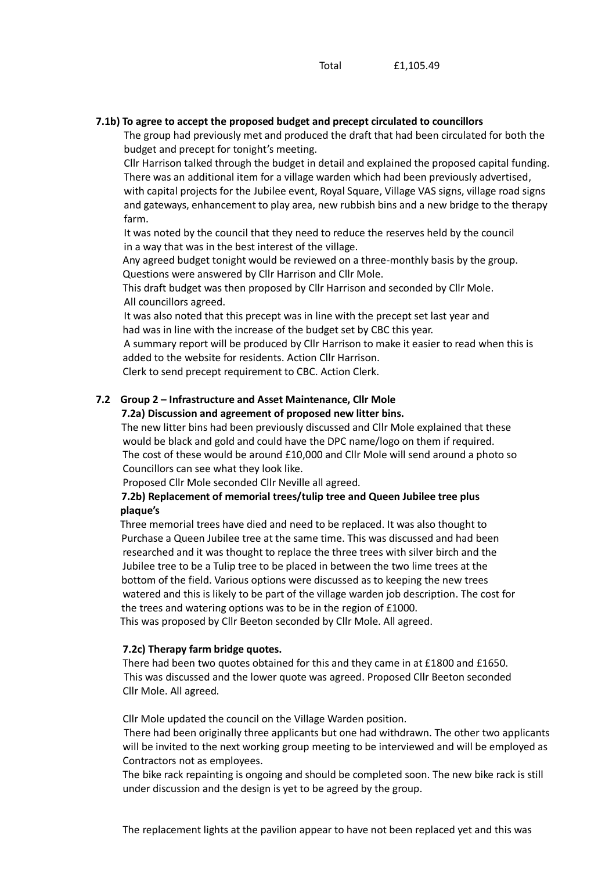### **7.1b) To agree to accept the proposed budget and precept circulated to councillors**

 The group had previously met and produced the draft that had been circulated for both the budget and precept for tonight's meeting.

 Cllr Harrison talked through the budget in detail and explained the proposed capital funding. There was an additional item for a village warden which had been previously advertised, with capital projects for the Jubilee event, Royal Square, Village VAS signs, village road signs and gateways, enhancement to play area, new rubbish bins and a new bridge to the therapy farm.

 It was noted by the council that they need to reduce the reserves held by the council in a way that was in the best interest of the village.

 Any agreed budget tonight would be reviewed on a three-monthly basis by the group. Questions were answered by Cllr Harrison and Cllr Mole.

 This draft budget was then proposed by Cllr Harrison and seconded by Cllr Mole. All councillors agreed.

 It was also noted that this precept was in line with the precept set last year and had was in line with the increase of the budget set by CBC this year.

 A summary report will be produced by Cllr Harrison to make it easier to read when this is added to the website for residents. Action Cllr Harrison.

Clerk to send precept requirement to CBC. Action Clerk.

# **7.2 Group 2 – Infrastructure and Asset Maintenance, Cllr Mole**

# **7.2a) Discussion and agreement of proposed new litter bins.**

 The new litter bins had been previously discussed and Cllr Mole explained that these would be black and gold and could have the DPC name/logo on them if required. The cost of these would be around £10,000 and Cllr Mole will send around a photo so Councillors can see what they look like.

Proposed Cllr Mole seconded Cllr Neville all agreed.

## **7.2b) Replacement of memorial trees/tulip tree and Queen Jubilee tree plus plaque's**

Three memorial trees have died and need to be replaced. It was also thought to Purchase a Queen Jubilee tree at the same time. This was discussed and had been researched and it was thought to replace the three trees with silver birch and the Jubilee tree to be a Tulip tree to be placed in between the two lime trees at the bottom of the field. Various options were discussed as to keeping the new trees watered and this is likely to be part of the village warden job description. The cost for the trees and watering options was to be in the region of £1000.

This was proposed by Cllr Beeton seconded by Cllr Mole. All agreed.

#### **7.2c) Therapy farm bridge quotes.**

 There had been two quotes obtained for this and they came in at £1800 and £1650. This was discussed and the lower quote was agreed. Proposed Cllr Beeton seconded Cllr Mole. All agreed.

Cllr Mole updated the council on the Village Warden position.

 There had been originally three applicants but one had withdrawn. The other two applicants will be invited to the next working group meeting to be interviewed and will be employed as Contractors not as employees.

 The bike rack repainting is ongoing and should be completed soon. The new bike rack is still under discussion and the design is yet to be agreed by the group.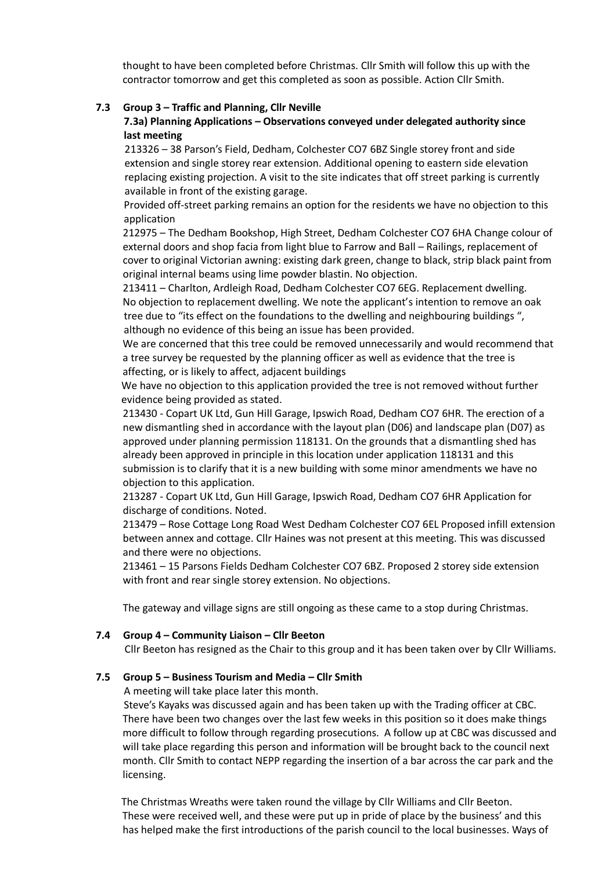thought to have been completed before Christmas. Cllr Smith will follow this up with the contractor tomorrow and get this completed as soon as possible. Action Cllr Smith.

### **7.3 Group 3 – Traffic and Planning, Cllr Neville**

# **7.3a) Planning Applications – Observations conveyed under delegated authority since last meeting**

 213326 – 38 Parson's Field, Dedham, Colchester CO7 6BZ Single storey front and side extension and single storey rear extension. Additional opening to eastern side elevation replacing existing projection. A visit to the site indicates that off street parking is currently available in front of the existing garage.

 Provided off-street parking remains an option for the residents we have no objection to this application

212975 – The Dedham Bookshop, High Street, Dedham Colchester CO7 6HA Change colour of external doors and shop facia from light blue to Farrow and Ball – Railings, replacement of cover to original Victorian awning: existing dark green, change to black, strip black paint from original internal beams using lime powder blastin. No objection.

213411 – Charlton, Ardleigh Road, Dedham Colchester CO7 6EG. Replacement dwelling. No objection to replacement dwelling. We note the applicant's intention to remove an oak tree due to "its effect on the foundations to the dwelling and neighbouring buildings ", although no evidence of this being an issue has been provided.

 We are concerned that this tree could be removed unnecessarily and would recommend that a tree survey be requested by the planning officer as well as evidence that the tree is affecting, or is likely to affect, adjacent buildings

 We have no objection to this application provided the tree is not removed without further evidence being provided as stated.

213430 - Copart UK Ltd, Gun Hill Garage, Ipswich Road, Dedham CO7 6HR. The erection of a new dismantling shed in accordance with the layout plan (D06) and landscape plan (D07) as approved under planning permission 118131. On the grounds that a dismantling shed has already been approved in principle in this location under application 118131 and this submission is to clarify that it is a new building with some minor amendments we have no objection to this application.

213287 - Copart UK Ltd, Gun Hill Garage, Ipswich Road, Dedham CO7 6HR Application for discharge of conditions. Noted.

213479 – Rose Cottage Long Road West Dedham Colchester CO7 6EL Proposed infill extension between annex and cottage. Cllr Haines was not present at this meeting. This was discussed and there were no objections.

213461 – 15 Parsons Fields Dedham Colchester CO7 6BZ. Proposed 2 storey side extension with front and rear single storey extension. No objections.

The gateway and village signs are still ongoing as these came to a stop during Christmas.

#### **7.4 Group 4 – Community Liaison – Cllr Beeton**

Cllr Beeton has resigned as the Chair to this group and it has been taken over by Cllr Williams.

#### **7.5 Group 5 – Business Tourism and Media – Cllr Smith**

A meeting will take place later this month.

 Steve's Kayaks was discussed again and has been taken up with the Trading officer at CBC. There have been two changes over the last few weeks in this position so it does make things more difficult to follow through regarding prosecutions. A follow up at CBC was discussed and will take place regarding this person and information will be brought back to the council next month. Cllr Smith to contact NEPP regarding the insertion of a bar across the car park and the licensing.

 The Christmas Wreaths were taken round the village by Cllr Williams and Cllr Beeton. These were received well, and these were put up in pride of place by the business' and this has helped make the first introductions of the parish council to the local businesses. Ways of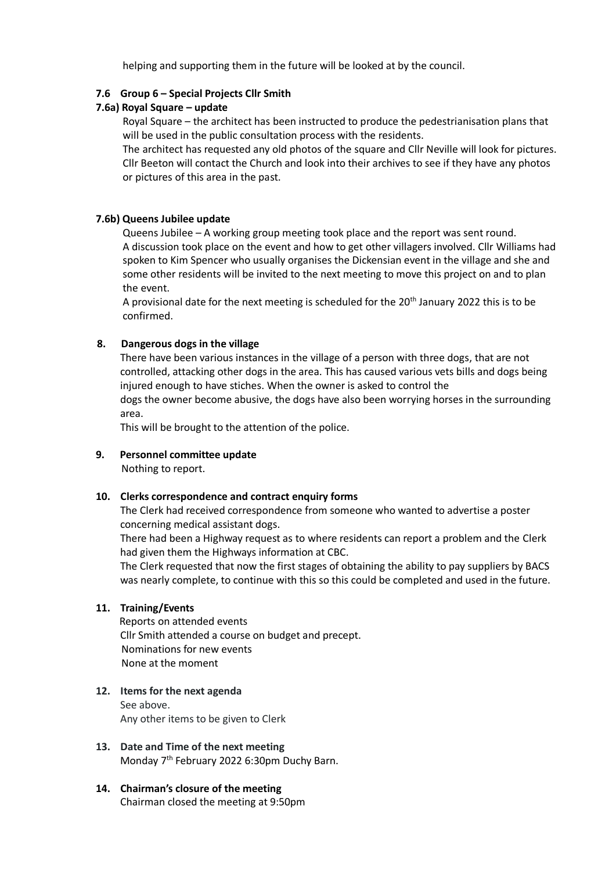helping and supporting them in the future will be looked at by the council.

# **7.6 Group 6 – Special Projects Cllr Smith**

# **7.6a) Royal Square – update**

 Royal Square – the architect has been instructed to produce the pedestrianisation plans that will be used in the public consultation process with the residents.

 The architect has requested any old photos of the square and Cllr Neville will look for pictures. Cllr Beeton will contact the Church and look into their archives to see if they have any photos or pictures of this area in the past.

## **7.6b) Queens Jubilee update**

 Queens Jubilee – A working group meeting took place and the report was sent round. A discussion took place on the event and how to get other villagers involved. Cllr Williams had spoken to Kim Spencer who usually organises the Dickensian event in the village and she and some other residents will be invited to the next meeting to move this project on and to plan the event.

A provisional date for the next meeting is scheduled for the 20<sup>th</sup> January 2022 this is to be confirmed.

## **8. Dangerous dogs in the village**

There have been various instances in the village of a person with three dogs, that are not controlled, attacking other dogs in the area. This has caused various vets bills and dogs being injured enough to have stiches. When the owner is asked to control the dogs the owner become abusive, the dogs have also been worrying horses in the surrounding area.

This will be brought to the attention of the police.

# **9. Personnel committee update**

Nothing to report.

#### **10. Clerks correspondence and contract enquiry forms**

The Clerk had received correspondence from someone who wanted to advertise a poster concerning medical assistant dogs.

There had been a Highway request as to where residents can report a problem and the Clerk had given them the Highways information at CBC.

 The Clerk requested that now the first stages of obtaining the ability to pay suppliers by BACS was nearly complete, to continue with this so this could be completed and used in the future.

#### **11. Training/Events**

Reports on attended events Cllr Smith attended a course on budget and precept. Nominations for new events None at the moment

## **12. Items for the next agenda** See above.

Any other items to be given to Clerk

- **13. Date and Time of the next meeting** Monday 7th February 2022 6:30pm Duchy Barn.
- **14. Chairman's closure of the meeting** Chairman closed the meeting at 9:50pm